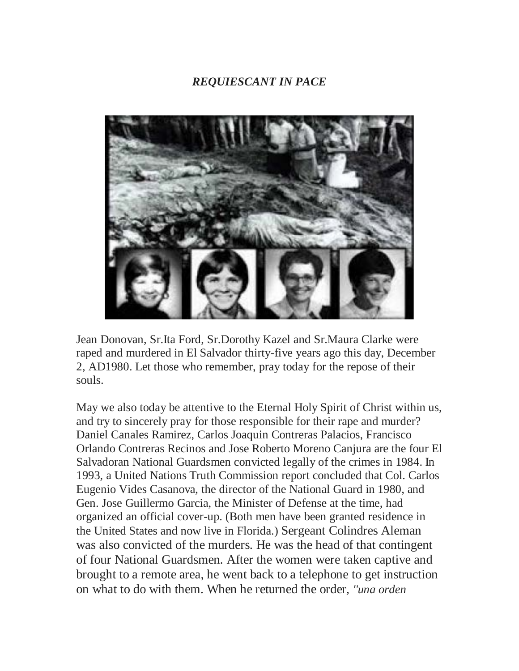## *REQUIESCANT IN PACE*



Jean Donovan, Sr.Ita Ford, Sr.Dorothy Kazel and Sr.Maura Clarke were raped and murdered in El Salvador thirty-five years ago this day, December 2, AD1980. Let those who remember, pray today for the repose of their souls.

May we also today be attentive to the Eternal Holy Spirit of Christ within us, and try to sincerely pray for those responsible for their rape and murder? Daniel Canales Ramirez, Carlos Joaquin Contreras Palacios, Francisco Orlando Contreras Recinos and Jose Roberto Moreno Canjura are the four El Salvadoran National Guardsmen convicted legally of the crimes in 1984. In 1993, a United Nations Truth Commission report concluded that Col. Carlos Eugenio Vides Casanova, the director of the National Guard in 1980, and Gen. Jose Guillermo Garcia, the Minister of Defense at the time, had organized an official cover-up. (Both men have been granted residence in the United States and now live in Florida.) Sergeant Colindres Aleman was also convicted of the murders. He was the head of that contingent of four National Guardsmen. After the women were taken captive and brought to a remote area, he went back to a telephone to get instruction on what to do with them. When he returned the order, *''una orden*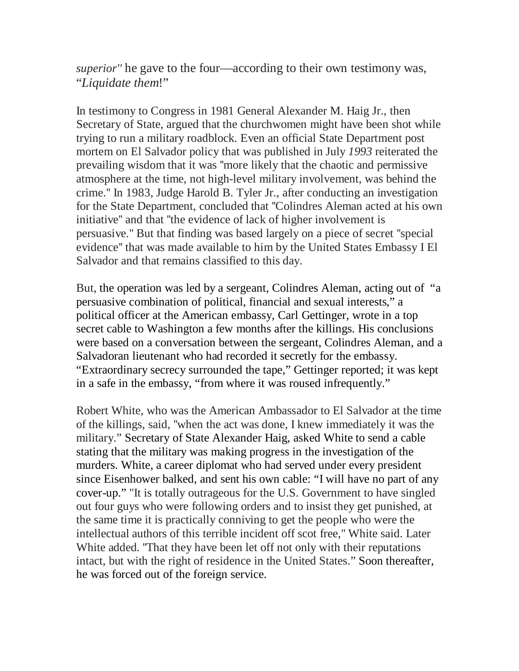*superior''* he gave to the four—according to their own testimony was, "*Liquidate them*!"

In testimony to Congress in 1981 General Alexander M. Haig Jr., then Secretary of State, argued that the churchwomen might have been shot while trying to run a military roadblock. Even an official State Department post mortem on El Salvador policy that was published in July *1993* reiterated the prevailing wisdom that it was ''more likely that the chaotic and permissive atmosphere at the time, not high-level military involvement, was behind the crime.'' In 1983, Judge Harold B. Tyler Jr., after conducting an investigation for the State Department, concluded that ''Colindres Aleman acted at his own initiative'' and that ''the evidence of lack of higher involvement is persuasive.'' But that finding was based largely on a piece of secret ''special evidence'' that was made available to him by the United States Embassy I El Salvador and that remains classified to this day.

But, the operation was led by a sergeant, Colindres Aleman, acting out of "a persuasive combination of political, financial and sexual interests," a political officer at the American embassy, Carl Gettinger, wrote in a top secret cable to Washington a few months after the killings. His conclusions were based on a conversation between the sergeant, Colindres Aleman, and a Salvadoran lieutenant who had recorded it secretly for the embassy. "Extraordinary secrecy surrounded the tape," Gettinger reported; it was kept in a safe in the embassy, "from where it was roused infrequently."

Robert White, who was the American Ambassador to El Salvador at the time of the killings, said, ''when the act was done, I knew immediately it was the military." Secretary of State Alexander Haig, asked White to send a cable stating that the military was making progress in the investigation of the murders. White, a career diplomat who had served under every president since Eisenhower balked, and sent his own cable: "I will have no part of any cover-up." ''It is totally outrageous for the U.S. Government to have singled out four guys who were following orders and to insist they get punished, at the same time it is practically conniving to get the people who were the intellectual authors of this terrible incident off scot free,'' White said. Later White added. ''That they have been let off not only with their reputations intact, but with the right of residence in the United States." Soon thereafter, he was forced out of the foreign service.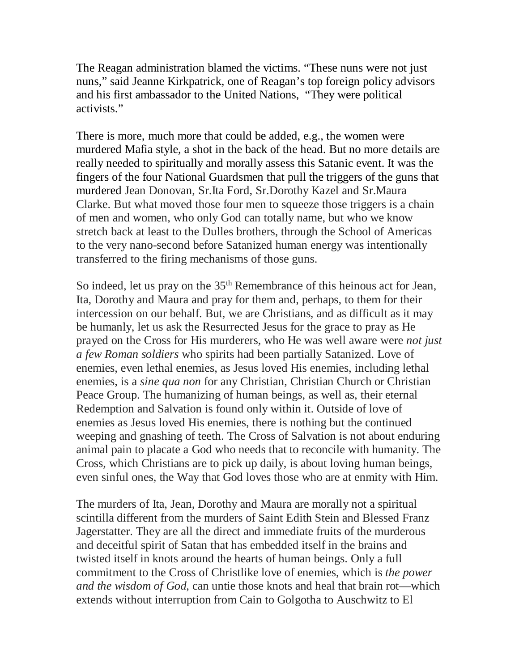The Reagan administration blamed the victims. "These nuns were not just nuns," said Jeanne Kirkpatrick, one of Reagan's top foreign policy advisors and his first ambassador to the United Nations, "They were political activists."

There is more, much more that could be added, e.g., the women were murdered Mafia style, a shot in the back of the head. But no more details are really needed to spiritually and morally assess this Satanic event. It was the fingers of the four National Guardsmen that pull the triggers of the guns that murdered Jean Donovan, Sr.Ita Ford, Sr.Dorothy Kazel and Sr.Maura Clarke. But what moved those four men to squeeze those triggers is a chain of men and women, who only God can totally name, but who we know stretch back at least to the Dulles brothers, through the School of Americas to the very nano-second before Satanized human energy was intentionally transferred to the firing mechanisms of those guns.

So indeed, let us pray on the 35<sup>th</sup> Remembrance of this heinous act for Jean, Ita, Dorothy and Maura and pray for them and, perhaps, to them for their intercession on our behalf. But, we are Christians, and as difficult as it may be humanly, let us ask the Resurrected Jesus for the grace to pray as He prayed on the Cross for His murderers, who He was well aware were *not just a few Roman soldiers* who spirits had been partially Satanized. Love of enemies, even lethal enemies, as Jesus loved His enemies, including lethal enemies, is a *sine qua non* for any Christian, Christian Church or Christian Peace Group. The humanizing of human beings, as well as, their eternal Redemption and Salvation is found only within it. Outside of love of enemies as Jesus loved His enemies, there is nothing but the continued weeping and gnashing of teeth. The Cross of Salvation is not about enduring animal pain to placate a God who needs that to reconcile with humanity. The Cross, which Christians are to pick up daily, is about loving human beings, even sinful ones, the Way that God loves those who are at enmity with Him.

The murders of Ita, Jean, Dorothy and Maura are morally not a spiritual scintilla different from the murders of Saint Edith Stein and Blessed Franz Jagerstatter. They are all the direct and immediate fruits of the murderous and deceitful spirit of Satan that has embedded itself in the brains and twisted itself in knots around the hearts of human beings. Only a full commitment to the Cross of Christlike love of enemies, which is *the power and the wisdom of God*, can untie those knots and heal that brain rot—which extends without interruption from Cain to Golgotha to Auschwitz to El